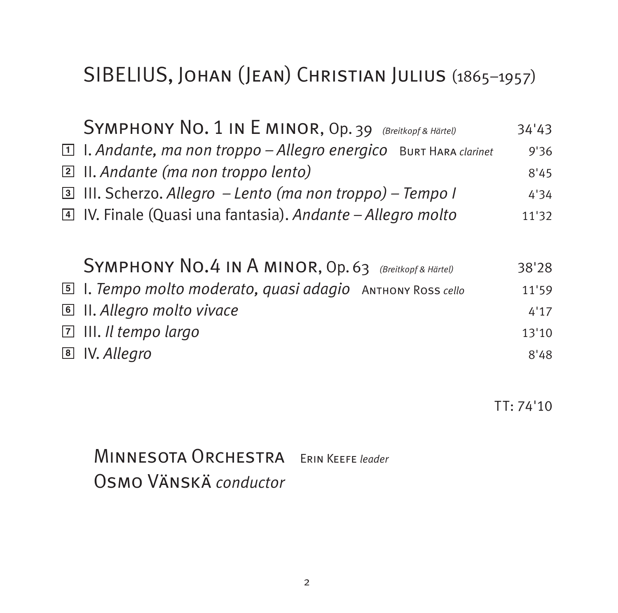# SIBELIUS, Johan (Jean) Christian Julius (1865–1957)

| SYMPHONY NO. 1 IN E MINOR, Op. 39 (Breitkopf & Härtel)                 | 34'43 |
|------------------------------------------------------------------------|-------|
| $\Box$ I. Andante, ma non troppo – Allegro energico Burt Hara clarinet | 9'36  |
| $\boxed{2}$ II. Andante (ma non troppo lento)                          | 8'45  |
| <b>ै</b> III. Scherzo. Allegro – Lento (ma non troppo) – Tempo I       | 4'34  |
| IV. Finale (Quasi una fantasia). Andante - Allegro molto               | 11'32 |
|                                                                        |       |
| SYMPHONY NO.4 IN A MINOR, Op. 63 (Breitkopf & Härtel)                  | 38'28 |
|                                                                        |       |
| <b>5</b> 1. Tempo molto moderato, quasi adagio АNТНОNY ROSS cello      | 11'59 |
| <b>■ II. Allegro molto vivace</b>                                      | 4'17  |
| $\Box$ III. Il tempo largo                                             | 13'10 |
| B IV. Allegro                                                          | 8'48  |

TT: 74'10

Minnesota Orchestra Erin Keefe *leader* Osmo Vänskä *conductor*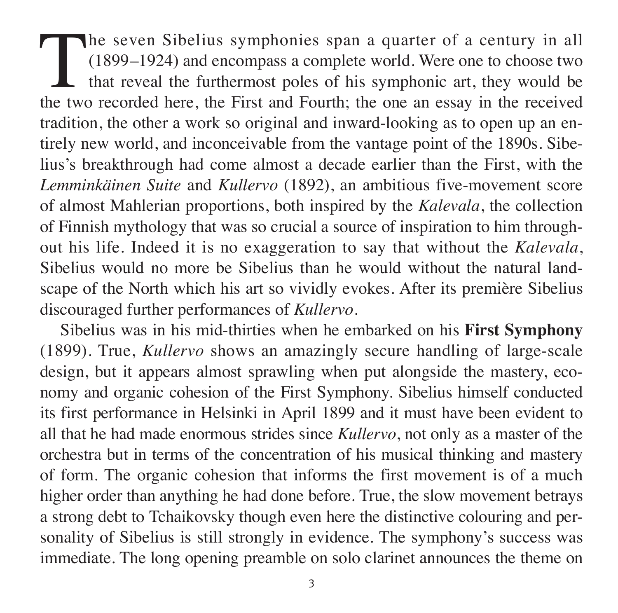The seven Sibelius symphonies span a quarter of a century in all (1899–1924) and encompass a complete world. Were one to choose two that reveal the furthermost poles of his symphonic art, they would be the two recorded her (1899–1924) and encompass a complete world. Were one to choose two that reveal the furthermost poles of his symphonic art, they would be the two recorded here, the First and Fourth; the one an essay in the received tradition, the other a work so original and inward-looking as to open up an entirely new world, and inconceivable from the vantage point of the 1890s. Sibe lius's break through had come almost a decade earlier than the First, with the *Lemmin käinen Suite* and *Kullervo* (1892), an ambitious five-movement score of almost Mahlerian proportions, both inspired by the *Kalevala*, the collection of Finnish mythology that was so crucial a source of inspiration to him through out his life. Indeed it is no exaggeration to say that without the *Kalevala*, Sibelius would no more be Sibelius than he would without the natural land scape of the North which his art so vividly evokes. After its première Sibelius discouraged further performances of *Kullervo*.

Sibelius was in his mid-thirties when he embarked on his **First Symphony** (1899). True, *Kullervo* shows an amazingly secure handling of large-scale design, but it appears almost sprawling when put alongside the mastery, economy and organic cohesion of the First Symphony. Sibelius himself conducted its first performance in Helsinki in April 1899 and it must have been evident to all that he had made enormous strides since *Kullervo*, not only as a master of the orchestra but in terms of the concentration of his musical thinking and mastery of form. The organic cohesion that informs the first movement is of a much higher order than anything he had done before. True, the slow movement betrays a strong debt to Tchaikovsky though even here the distinctive colouring and personality of Sibelius is still strongly in evidence. The symphony's success was imme diate. The long opening preamble on solo clarinet announces the theme on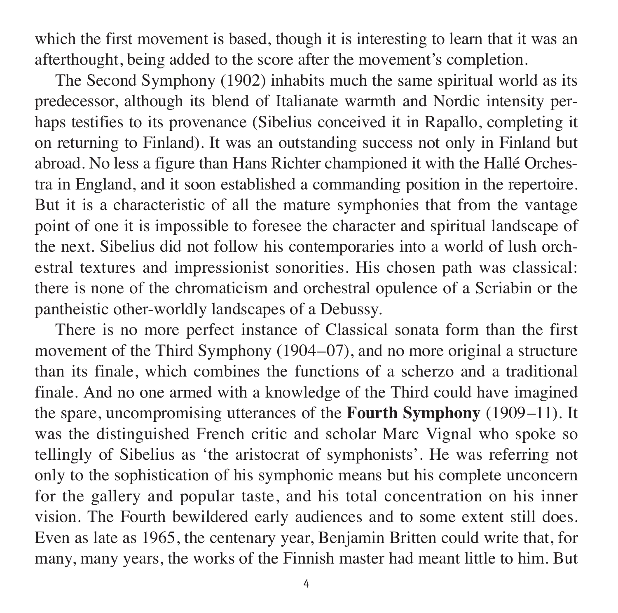which the first movement is based, though it is interesting to learn that it was an afterthought, being added to the score after the movement's completion.

The Second Symphony (1902) inhabits much the same spiritual world as its predecessor, although its blend of Italianate warmth and Nordic intensity perhaps testifies to its provenance (Sibelius conceived it in Rapallo, completing it on returning to Finland). It was an outstanding success not only in Finland but abroad. No less a figure than Hans Richter championed it with the Hallé Orchestra in England, and it soon established a commanding position in the repertoire. But it is a characteristic of all the mature symphonies that from the vantage point of one it is impossible to foresee the character and spiritual landscape of the next. Sibelius did not follow his contemporaries into a world of lush orchestral textures and impressionist sonorities. His chosen path was classical: there is none of the chromaticism and orchestral opulence of a Scriabin or the pan theistic other-worldly landscapes of a Debussy.

There is no more perfect instance of Classical sonata form than the first movement of the Third Symphony (1904–07), and no more original a structure than its finale, which combines the functions of a scherzo and a traditional finale. And no one armed with a knowledge of the Third could have imagined the spare, uncompromising utterances of the **Fourth Symphony** (1909–11). It was the distinguished French critic and scholar Marc Vignal who spoke so tellingly of Sibelius as 'the aristocrat of symphonists'. He was referring not only to the sophistication of his symphonic means but his complete unconcern for the gallery and popular taste, and his total concentration on his inner vision. The Fourth bewildered early audiences and to some extent still does. Even as late as 1965, the centenary year, Benjamin Britten could write that, for many, many years, the works of the Finnish master had meant little to him. But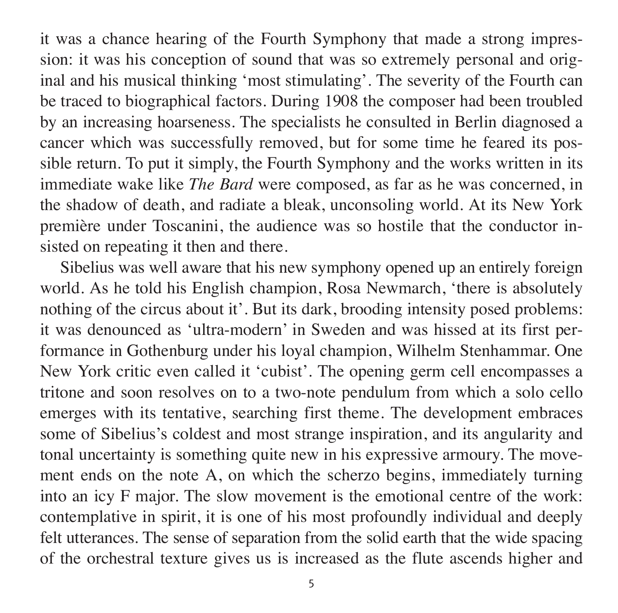it was a chance hearing of the Fourth Symphony that made a strong impression: it was his conception of sound that was so extremely personal and original and his musical thinking 'most stimulating'. The severity of the Fourth can be traced to biographical factors. During 1908 the composer had been troubled by an increasing hoarseness. The specialists he consulted in Berlin diagnosed a cancer which was successfully removed, but for some time he feared its possible return. To put it simply, the Fourth Symphony and the works written in its immediate wake like *The Bard* were composed, as far as he was concerned, in the shadow of death, and radiate a bleak, unconsoling world. At its New York première under Toscanini, the audience was so hostile that the conductor insisted on repeating it then and there.

Sibelius was well aware that his new symphony opened up an entirely foreign world. As he told his English champion, Rosa Newmarch, 'there is absolutely nothing of the circus about it'. But its dark, brooding intensity posed problems: it was denounced as 'ultra-modern' in Sweden and was hissed at its first per formance in Gothenburg under his loyal champion, Wilhelm Stenhammar. One New York critic even called it 'cubist'. The opening germ cell encompasses a tritone and soon resolves on to a two-note pendulum from which a solo cello emerges with its tentative, searching first theme. The development embraces some of Sibelius's coldest and most strange inspiration, and its angularity and tonal uncertainty is something quite new in his expressive armoury. The move ment ends on the note A, on which the scherzo begins, immediately turning into an icy F major. The slow movement is the emotional centre of the work: contemplative in spirit, it is one of his most profoundly individual and deeply felt utterances. The sense of separation from the solid earth that the wide spacing of the orchestral texture gives us is increased as the flute ascends higher and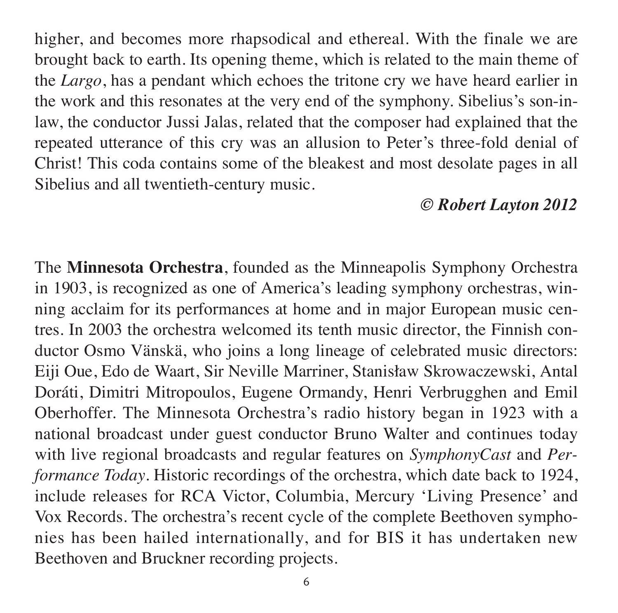higher, and becomes more rhapsodical and ethereal. With the finale we are brought back to earth. Its opening theme, which is related to the main theme of the *Largo*, has a pendant which echoes the tritone cry we have heard earlier in the work and this resonates at the very end of the symphony. Sibelius's son-inlaw, the conductor Jussi Jalas, related that the composer had explained that the repeated utterance of this cry was an allusion to Peter's three-fold denial of Christ! This coda contains some of the bleakest and most desolate pages in all Sibelius and all twentieth-century music.

### *© Robert Layton 2012*

The **Minnesota Orchestra**, founded as the Minneapolis Symphony Orchestra in 1903, is recognized as one of America's leading symphony orchestras, winning acclaim for its performances at home and in major European music centres. In 2003 the orchestra welcomed its tenth music director, the Finnish con ductor Osmo Vänskä, who joins a long lineage of celebrated music directors: Eiji Oue, Edo de Waart, Sir Neville Marriner, Stanisław Skrowaczewski, Antal Doráti, Dimitri Mitropoulos, Eugene Ormandy, Henri Verbrugghen and Emil Oberhoffer. The Minnesota Orchestra's radio history began in 1923 with a national broadcast under guest conductor Bruno Walter and continues today with live regional broadcasts and regular features on *SymphonyCast* and *Per for mance Today*. Historic recordings of the orchestra, which date back to 1924, include releases for RCA Victor, Columbia, Mercury 'Living Presence' and Vox Records. The orchestra's recent cycle of the complete Beethoven symphonies has been hailed internationally, and for BIS it has undertaken new Beethoven and Bruckner recording projects.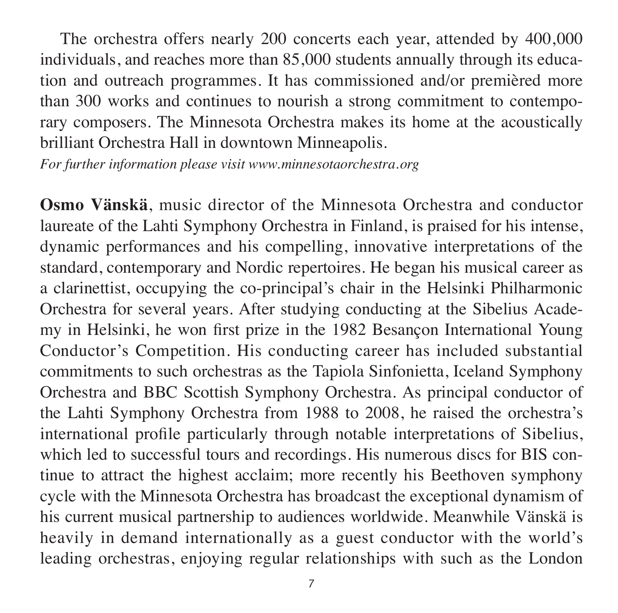The orchestra offers nearly 200 concerts each year, attended by 400,000 individuals, and reaches more than 85,000 students annually through its education and outreach programmes. It has commissioned and/or premièred more than 300 works and continues to nourish a strong commitment to contemporary composers. The Minnesota Orchestra makes its home at the acoustically brilliant Orchestra Hall in downtown Minneapolis.

*For further information please visit www.minnesotaorchestra.org*

**Osmo Vänskä**, music director of the Minnesota Orchestra and conductor laureate of the Lahti Symphony Orchestra in Finland, is praised for his intense, dynamic performances and his compelling, innovative interpretations of the standard, contemporary and Nordic repertoires. He began his musical career as a clarinettist, occupying the co-principal's chair in the Helsinki Philharmonic Orchestra for several years. After studying conducting at the Sibelius Academy in Helsinki, he won first prize in the 1982 Besançon International Young Conductor's Competition. His conducting career has included substantial commitments to such orchestras as the Tapiola Sinfonietta, Iceland Symphony Orchestra and BBC Scottish Symphony Orchestra. As principal conductor of the Lahti Symphony Orchestra from 1988 to 2008, he raised the orchestra's international profile particularly through notable interpretations of Sibelius, which led to successful tours and recordings. His numerous discs for BIS continue to attract the highest acclaim; more recently his Beethoven symphony cycle with the Minnesota Orchestra has broadcast the exceptional dynamism of his current musical partnership to audiences worldwide. Meanwhile Vänskä is heavily in demand internationally as a guest conductor with the world's leading orchestras, enjoying regular relationships with such as the London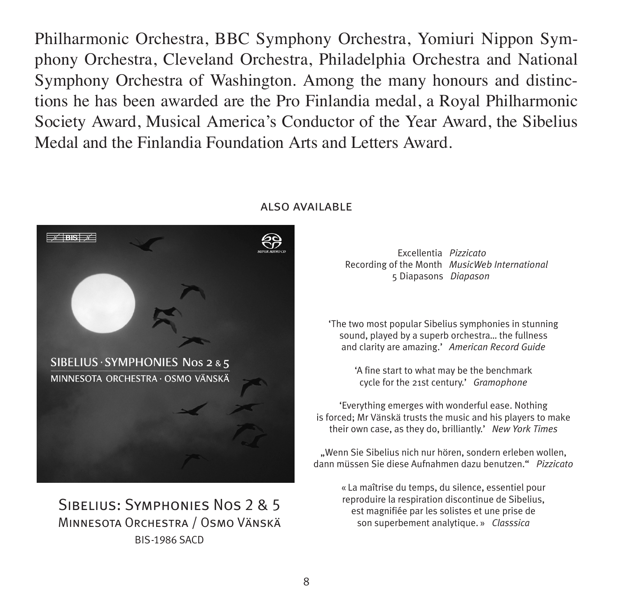Philharmonic Orchestra, BBC Symphony Orchestra, Yomiuri Nippon Symphony Orchestra, Cleveland Orchestra, Philadelphia Orchestra and National Symphony Orchestra of Washington. Among the many honours and distinctions he has been awarded are the Pro Fin landia medal, a Royal Philharmonic Society Award, Musical America's Conductor of the Year Award, the Sibelius Medal and the Finlandia Foundation Arts and Letters Award.



### Sibelius: Symphonies Nos 2 & 5 Minnesota Orchestra / Osmo Vänskä BIS-1986 SACD

#### also available

Excellentia *Pizzicato* Recording of the Month *MusicWeb International*  5 Diapasons *Diapason*

'The two most popular Sibelius symphonies in stunning sound, played by a superb orchestra… the fullness and clarity are amazing.' *American Record Guide*

> 'A fine start to what may be the benchmark cycle for the 21st century.' *Gramophone*

'Everything emerges with wonderful ease. Nothing is forced; Mr Vänskä trusts the music and his players to make their own case, as they do, brilliantly.' *New York Times*

"Wenn Sie Sibelius nich nur hören, sondern erleben wollen, dann müssen Sie diese Aufnahmen dazu benutzen." *Pizzicato*

> « La maîtrise du temps, du silence, essentiel pour reproduire la respiration discontinue de Sibelius, est magnifiée par les solistes et une prise de son superbement analytique. » *Classsica*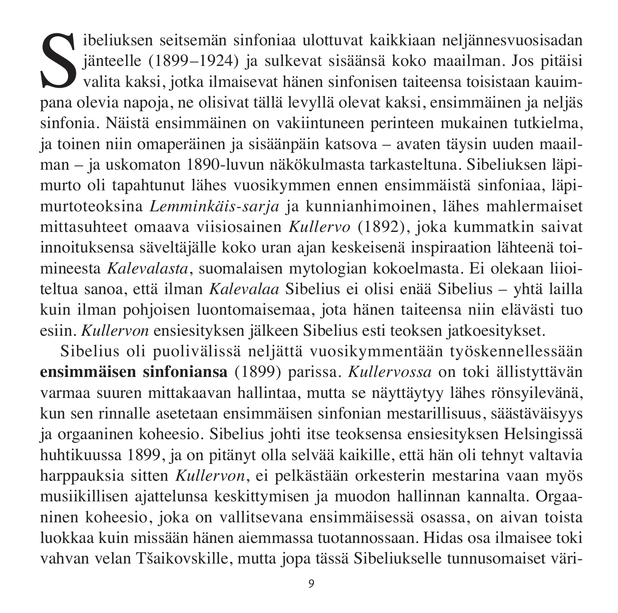Sibeliuksen seitsemän sinfoniaa ulottuvat kaikkiaan neljännesvuosisadan jänteelle (1899–1924) ja sulkevat sisäänsä koko maailman. Jos pitäisi valita kaksi, jotka ilmaisevat hänen sinfonisen taiteensa toisistaan kauimpana o jänteelle (1899–1924) ja sulkevat sisäänsä koko maailman. Jos pitäisi valita kaksi, jotka ilmaisevat hänen sinfonisen taiteensa toisistaan kauim pana olevia napoja, ne olisivat tällä levyllä olevat kaksi, ensimmäinen ja neljäs sinfonia. Näistä ensimmäinen on vakiintuneen perinteen mukainen tutkielma, ja toinen niin omaperäinen ja sisäänpäin katsova – avaten täysin uuden maail man – ia uskomaton 1890-luvun näkökulmasta tarkasteltuna. Sibeliuksen läpimurto oli tapahtunut lähes vuosikymmen ennen ensimmäistä sinfoniaa, läpimurtoteoksina *Lemminkäis-sarja* ja kunnianhimoinen, lähes mahlermaiset mittasuhteet omaava viisiosainen *Kullervo* (1892), joka kummatkin saivat innoituksensa säveltäjälle koko uran ajan keskeisenä inspiraation lähteenä toimineesta *Kalevalasta*, suomalaisen mytologian kokoelmasta. Ei olekaan liioi teltua sanoa, että ilman *Kalevalaa* Sibelius ei olisi enää Sibelius – yhtä lailla kuin ilman pohjoisen luontomaisemaa, jota hänen taiteensa niin elävästi tuo esiin. *Kullervon* ensiesityksen jälkeen Sibelius esti teoksen jatkoesitykset.

Sibelius oli puolivälissä neljättä vuosikymmentään työskennellessään **ensim mäisen sinfoniansa** (1899) parissa. *Kullervossa* on toki ällistyttävän varmaa suuren mittakaavan hallintaa, mutta se näyttäytyy lähes rönsyilevänä, kun sen rinnalle asetetaan ensimmäisen sinfonian mestarillisuus, säästäväisyys ja orgaaninen koheesio. Sibelius johti itse teoksensa ensiesityksen Helsingissä huhtikuussa 1899, ja on pitänyt olla selvää kaikille, että hän oli tehnyt valtavia harppauksia sitten *Kullervon*, ei pelkästään orkesterin mestarina vaan myös musiikillisen ajattelunsa keskittymisen ja muodon hallinnan kannalta. Orgaaninen koheesio, joka on vallitsevana ensimmäisessä osassa, on aivan toista luokkaa kuin missään hänen aiemmassa tuotannossaan. Hidas osa ilmaisee toki vahvan velan Tšaikovskille, mutta jopa tässä Sibeliukselle tunnusomaiset väri -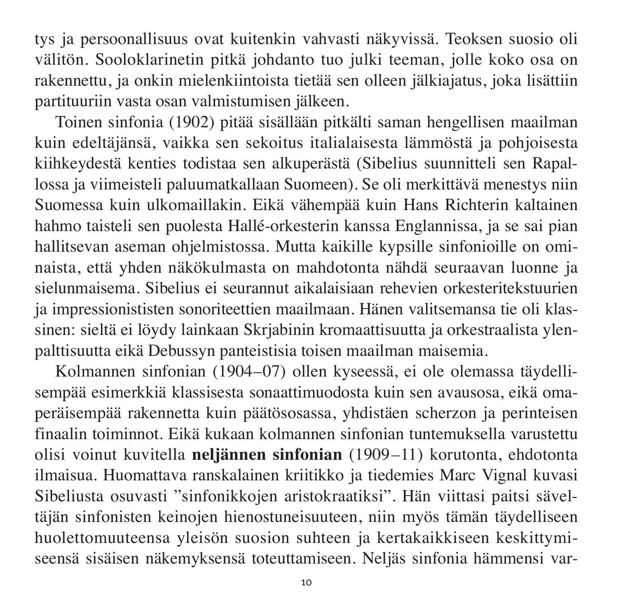tys ja persoonallisuus ovat kuitenkin vahvasti näkyvissä. Teoksen suosio oli välitön. Sooloklarinetin pitkä johdanto tuo julki teeman, jolle koko osa on raken nettu, ja onkin mielenkiintoista tietää sen olleen jälkiajatus, joka lisättiin partituuriin vasta osan valmistumisen jälkeen.

Toinen sinfonia (1902) pitää sisällään pitkälti saman hengellisen maailman kuin edeltäjänsä, vaikka sen sekoitus italialaisesta lämmöstä ja pohjoisesta kiih keydestä kenties todistaa sen alkuperästä (Sibelius suunnitteli sen Rapallossa ja viimeisteli paluumatkallaan Suomeen). Se oli merkittävä menestys niin Suomessa kuin ulkomaillakin. Eikä vähempää kuin Hans Richterin kaltainen hahmo taisteli sen puolesta Hallé-orkesterin kanssa Englannissa, ja se sai pian hallitsevan aseman ohjelmistossa. Mutta kaikille kypsille sinfonioille on omi naista, että yhden näkökulmasta on mahdotonta nähdä seuraavan luonne ja sielun maisema. Sibelius ei seurannut aikalaisiaan rehevien orkesteritekstuurien ja impressionististen sonoriteettien maailmaan. Hänen valitsemansa tie oli klas sinen: sieltä ei löydy lainkaan Skrjabinin kromaattisuutta ja orkestraalista ylen palttisuutta eikä Debussyn panteistisia toisen maailman maisemia.

Kolmannen sinfonian (1904–07) ollen kyseessä, ei ole olemassa täydellisempää esimerkkiä klassisesta sonaattimuodosta kuin sen avausosa, eikä omaperäisempää rakennetta kuin päätösosassa, yhdistäen scherzon ja perinteisen finaalin toiminnot. Eikä kukaan kolmannen sinfonian tuntemuksella varustettu olisi voinut kuvitella **neljännen sinfonian** (1909–11) korutonta, ehdotonta ilmaisua. Huomattava ranskalainen kriitikko ja tiedemies Marc Vignal kuvasi Sibeliusta osuvasti "sinfonikkojen aristokraatiksi". Hän viittasi paitsi sävel täjän sinfonisten keinojen hienostuneisuuteen, niin myös tämän täydelliseen huolettomuuteensa yleisön suosion suhteen ja kertakaikkiseen keskittymiseensä sisäisen näkemyksensä toteuttamiseen. Neljäs sinfonia hämmensi var -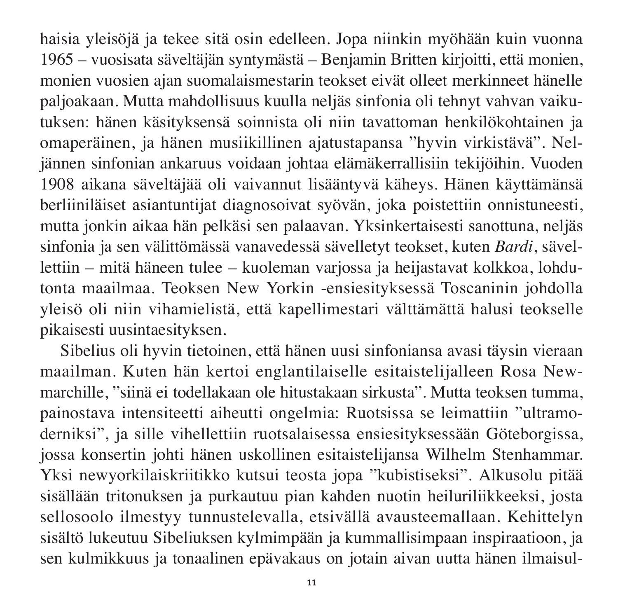haisia yleisöjä ja tekee sitä osin edelleen. Jopa niinkin myöhään kuin vuonna 1965 – vuosisata säveltäjän syntymästä – Benjamin Britten kirjoitti, että monien, monien vuosien ajan suomalaismestarin teokset eivät olleet merkinneet hänelle paljoakaan. Mutta mahdollisuus kuulla neljäs sinfonia oli tehnyt vahvan vaiku tuksen: hänen käsityksensä soinnista oli niin tavattoman henkilökohtainen ja omaperäinen, ja hänen musiikillinen ajatustapansa "hyvin virkistävä". Nel jännen sinfonian ankaruus voidaan johtaa elämäkerrallisiin tekijöihin. Vuoden 1908 aikana säveltäjää oli vaivannut lisääntyvä käheys. Hänen käyttämänsä berliiniläiset asiantuntijat diagnosoivat syövän, joka poistettiin onnistuneesti, mutta jonkin aikaa hän pelkäsi sen palaavan. Yksinkertaisesti sanottuna, neljäs sinfonia ja sen välittömässä vanavedessä sävelletyt teokset, kuten *Bardi*, sävel lettiin – mitä häneen tulee – kuoleman varjossa ja heijastavat kolkkoa, lohdutonta maailmaa. Teoksen New Yorkin -ensiesityksessä Toscaninin johdolla yleisö oli niin vihamielistä, että kapellimestari välttämättä halusi teokselle pikaisesti uusintaesityksen.

Sibelius oli hyvin tietoinen, että hänen uusi sinfoniansa avasi täysin vieraan maailman. Kuten hän kertoi englantilaiselle esitaistelijalleen Rosa New marchille, "siinä ei to della kaan ole hitustakaan sirkusta". Mutta teoksen tumma, painostava intensiteetti aiheutti ongelmia: Ruotsissa se leimattiin "ultramoderniksi", ja sille vihellettiin ruotsalaisessa ensiesityksessään Göteborgissa, jossa konsertin johti hänen uskollinen esitaistelijansa Wilhelm Stenhammar. Yksi newyorkilaiskriitikko kutsui teosta jopa "kubistiseksi". Alkusolu pitää sisällään tritonuksen ja purkautuu pian kahden nuotin heiluriliikkeeksi, josta sellosoolo ilmestyy tunnustelevalla, etsivällä avausteemallaan. Kehittelyn sisältö lukeutuu Sibeliuksen kyl mimpään ja kummallisimpaan inspiraatioon, ja sen kulmikkuus ja tonaalinen epävakaus on jotain aivan uutta hänen ilmaisul-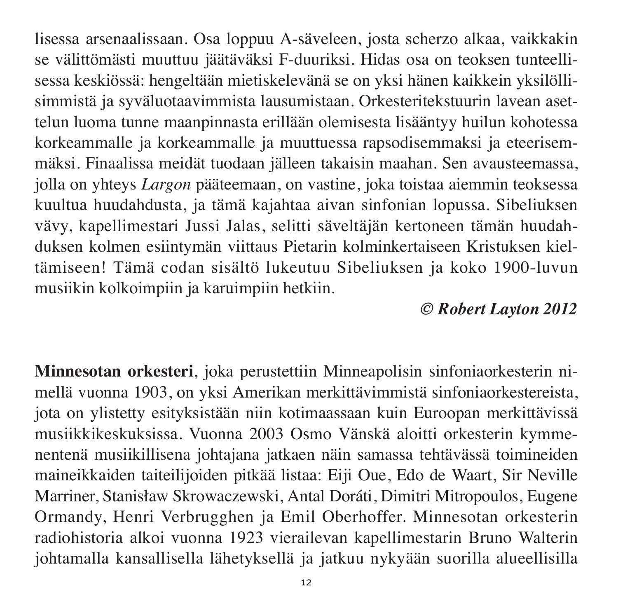lisessa arsenaalissaan. Osa loppuu A-säveleen, josta scherzo alkaa, vaikkakin se välittömästi muuttuu jäätäväksi F-duuriksi. Hidas osa on teoksen tunteellisessa keskiössä: hengeltään mietiskelevänä se on yksi hänen kaikkein yksilölli simmistä ja syväluotaavimmista lausumistaan. Orkesteritekstuurin lavean asettelun luoma tunne maanpinnasta erillään olemisesta lisääntyy huilun kohotessa korkeammalle ja korkeammalle ja muuttuessa rapsodisemmaksi ja eteerisemmäksi. Finaalissa meidät tuodaan jälleen takaisin maahan. Sen avausteemassa, jolla on yhteys *Largon* pääteemaan, on vastine, joka toistaa aiemmin teoksessa kuultua huu dahdusta, ja tämä kajahtaa aivan sinfonian lopussa. Sibeliuksen vävy, kapellimestari Jussi Jalas, selitti säveltäjän kertoneen tämän huudahduksen kolmen esiintymän viittaus Pietarin kolminkertaiseen Kristuksen kiel tämiseen! Tämä codan sisältö lukeutuu Sibeliuksen ja koko 1900-luvun musiikin kolkoimpiin ja karuimpiin hetkiin.

## *© Robert Layton 2012*

**Minnesotan orkesteri**, joka perustettiin Minneapolisin sinfoniaorkesterin ni mellä vuonna 1903, on yksi Amerikan merkittävimmistä sinfonia orkestereista, jota on ylistetty esityksistään niin kotimaassaan kuin Euroopan merkittävissä musiikkikeskuksissa. Vuonna 2003 Osmo Vänskä aloitti orkesterin kymme nen tenä musiikillisena johtajana jatkaen näin samassa tehtävässä toimineiden maineikkaiden taiteilijoiden pitkää listaa: Eiji Oue, Edo de Waart, Sir Neville Marriner, Stanisław Skrowaczewski, Antal Doráti, Dimitri Mitropoulos, Eugene Ormandy, Henri Verbrugghen ja Emil Oberhoffer. Minnesotan orkesterin radio historia alkoi vuonna 1923 vierailevan kapellimestarin Bruno Walterin johtamalla kansallisella lähetyksellä ja jatkuu nykyään suorilla alueellisilla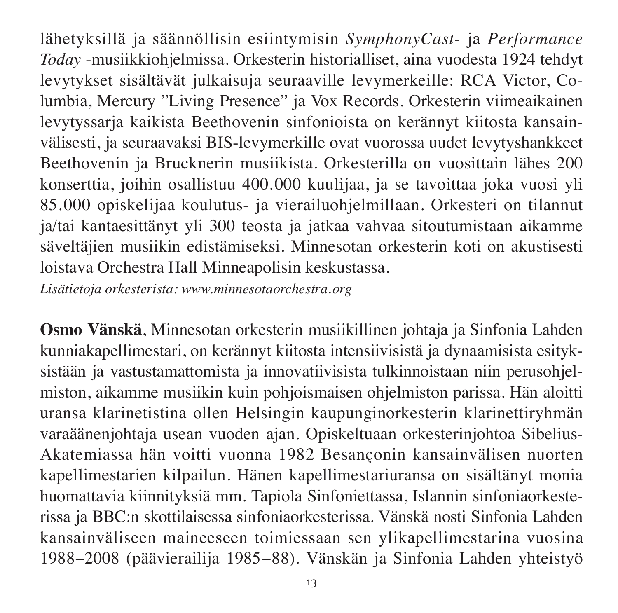lähetyk sillä ja säännöllisin esiintymisin *SymphonyCast*- ja *Performance Today* -musiikki ohjelmissa. Orkesterin historialliset, aina vuodesta 1924 tehdyt levytykset sisältävät julkaisuja seuraaville levymerkeille: RCA Victor, Columbia, Mercury "Living Presence" ja Vox Records. Orkesterin viimeaikainen levytyssaria kaikista Beethovenin sinfonioista on kerännyt kiitosta kansainvälisesti, ja seuraa vaksi BIS-levymerkille ovat vuorossa uudet levytyshankkeet Beethovenin ja Brucknerin musiikista. Orkesterilla on vuosittain lähes 200 konserttia, joihin osallistuu 400.000 kuulijaa, ja se tavoittaa joka vuosi yli 85.000 opiskelijaa koulutus- ja vierailuohjelmillaan. Orkesteri on tilannut ja/tai kantaesittänyt yli 300 teosta ja jatkaa vahvaa sitoutumistaan aikamme säveltäjien musiikin edistämiseksi. Minnesotan orkesterin koti on akustisesti loistava Orchestra Hall Minneapolisin keskustassa.

*Lisätietoja orkesterista: www.minnesotaorchestra.org*

**Osmo Vänskä**, Minnesotan orkesterin musiikillinen johtaja ja Sinfonia Lahden kunniakapellimestari, on kerännyt kiitosta intensiivisistä ja dynaamisista esityksistään ja vastustamattomista ja innovatiivisista tulkinnoistaan niin perusohjelmiston, aikamme musiikin kuin pohjoismaisen ohjelmiston parissa. Hän aloitti uransa klarinetistina ollen Helsingin kaupunginorkesterin klarinettiryhmän varaäänenjohtaja usean vuoden ajan. Opiskeltuaan orkesteriniohtoa Sibelius-Akatemiassa hän voitti vuonna 1982 Besançonin kansainvälisen nuorten kapellimestarien kilpailun. Hänen kapellimestariuransa on sisältänyt monia huomattavia kiinnityksiä mm. Tapiola Sinfoniettassa, Islannin sinfoniaorkesterissa ja BBC:n skottilaisessa sinfoniaorkesterissa. Vänskä nosti Sinfonia Lahden kansainväliseen maineeseen toimiessaan sen ylikapellimestarina vuosina 1988–2008 (päävierailija 1985–88). Vänskän ja Sinfonia Lahden yhteistyö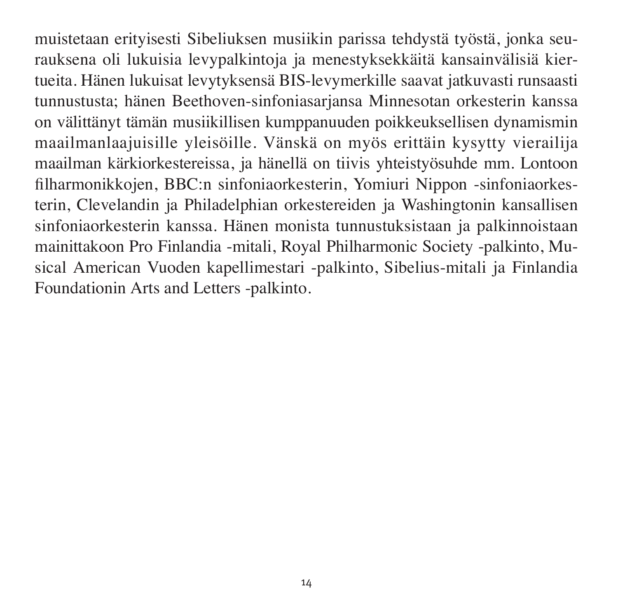muistetaan erityisesti Sibeliuksen musiikin parissa tehdystä työstä, jonka seurauksena oli lukuisia levypalkintoja ja menestyksekkäitä kansainvälisiä kiertueita. Hänen lukuisat levytyksensä BIS-levymerkille saavat jatkuvasti runsaasti tunnustusta; hänen Beethoven-sinfoniasarjansa Minnesotan orkesterin kanssa on välittänyt tämän musiikillisen kumppanuuden poikkeuk sellisen dynamismin maailman laajui sille yleisöille. Vänskä on myös erittäin kysytty vierailija maailman kärkiorkestereissa, ja hänellä on tiivis yhteistyösuhde mm. Lontoon filhar monik kojen, BBC:n sinfonia orkesterin, Yomiuri Nippon -sinfonia orkes terin, Clevelandin ja Philadelphian orkestereiden ja Washingtonin kansallisen sinfonia orkesterin kanssa. Hänen monista tunnustuksistaan ja palkinnoistaan mainittakoon Pro Finlandia -mitali, Royal Philharmonic Society -palkinto, Musical American Vuoden kapellimestari -palkinto, Sibelius-mitali ja Finlandia Foundationin Arts and Letters -palkinto.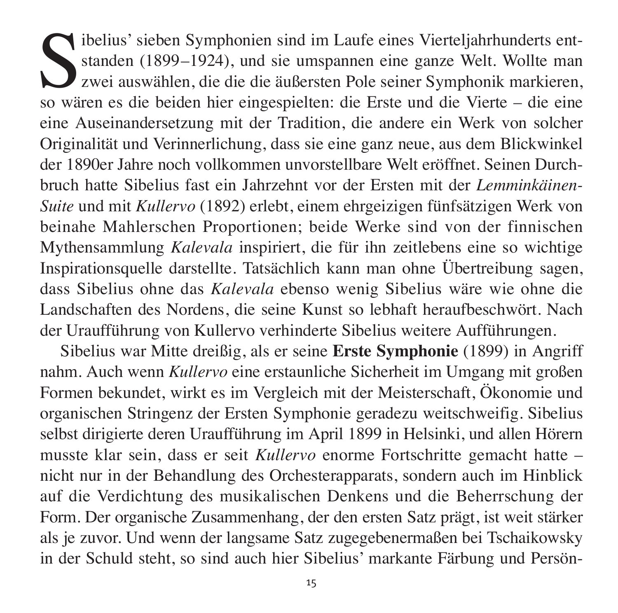$\bigcap$  ibelius' sieben Symphonien sind im Laufe eines Vierteljahrhunderts entstanden (1899–1924), und sie umspannen eine ganze Welt. Wollte man zwei auswählen, die die die äußersten Pole seiner Symphonik markieren, so wären es die beiden hier eingespielten: die Erste und die Vierte – die eine eine Auseinandersetzung mit der Tradition, die andere ein Werk von solcher Originalität und Verinnerlichung, dass sie eine ganz neue, aus dem Blick winkel der 1890er Jahre noch vollkommen unvorstellbare Welt eröffnet. Seinen Durch bruch hatte Sibelius fast ein Jahrzehnt vor der Ersten mit der *Lemminkäinen-Suite* und mit *Kullervo* (1892) erlebt, einem ehrgeizigen fünfsätzigen Werk von beinahe Mahlerschen Proportionen; beide Werke sind von der finnischen Mythen sammlung *Kalevala* inspiriert, die für ihn zeitlebens eine so wichtige Inspirationsquelle darstellte. Tatsächlich kann man ohne Übertreibung sagen, dass Sibelius ohne das *Kalevala* ebenso wenig Sibelius wäre wie ohne die Landschaften des Nordens, die seine Kunst so lebhaft heraufbeschwört. Nach der Uraufführung von Kullervo verhinderte Sibelius weitere Aufführungen.

Sibelius war Mitte dreißig, als er seine **Erste Symphonie** (1899) in Angriff nahm. Auch wenn *Kullervo* eine erstaunliche Sicherheit im Umgang mit großen Formen bekundet, wirkt es im Vergleich mit der Meisterschaft, Ökonomie und organischen Stringenz der Ersten Symphonie geradezu weitschweifig. Sibelius selbst dirigierte deren Uraufführung im April 1899 in Helsinki, und allen Hörern musste klar sein, dass er seit *Kullervo* enorme Fortschritte gemacht hatte – nicht nur in der Behandlung des Orchesterapparats, sondern auch im Hinblick auf die Verdichtung des musikalischen Denkens und die Beherrschung der Form. Der organische Zusammenhang, der den ersten Satz prägt, ist weit stärker als je zuvor. Und wenn der langsame Satz zugegebenermaßen bei Tschaikowsky in der Schuld steht, so sind auch hier Sibelius' markante Färbung und Persön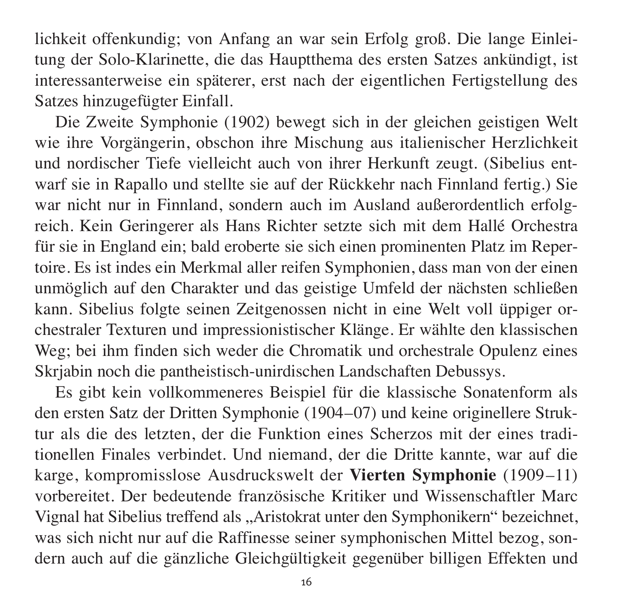lich keit offenkundig; von Anfang an war sein Erfolg groß. Die lange Einlei tung der Solo-Klarinette, die das Hauptthema des ersten Satzes ankündigt, ist interessanterweise ein späterer, erst nach der eigentlichen Fertigstellung des Satzes hinzugefügter Einfall.

Die Zweite Symphonie (1902) bewegt sich in der gleichen geistigen Welt wie ihre Vorgängerin, obschon ihre Mischung aus italienischer Herzlichkeit und nordischer Tiefe vielleicht auch von ihrer Herkunft zeugt. (Sibelius entwarf sie in Rapallo und stellte sie auf der Rückkehr nach Finnland fertig.) Sie war nicht nur in Finnland, sondern auch im Ausland außerordentlich erfolgreich. Kein Geringerer als Hans Richter setzte sich mit dem Hallé Orchestra für sie in England ein; bald eroberte sie sich einen prominenten Platz im Reper toire. Es ist indes ein Merkmal aller reifen Symphonien, dass man von der einen unmöglich auf den Charakter und das geistige Umfeld der nächsten schließen kann. Sibelius folgte seinen Zeitgenossen nicht in eine Welt voll üppiger or chestraler Texturen und impressionistischer Klänge. Er wählte den klassischen Weg; bei ihm finden sich weder die Chromatik und orchestrale Opulenz eines Skrjabin noch die pantheistisch-unirdischen Landschaften Debussys.

Es gibt kein vollkommeneres Beispiel für die klassische Sonatenform als den ersten Satz der Dritten Symphonie (1904–07) und keine originellere Struk tur als die des letzten, der die Funktion eines Scherzos mit der eines traditionellen Finales verbindet. Und niemand, der die Dritte kannte, war auf die karge, kompromisslose Ausdruckswelt der Vierten Symphonie (1909–11) vor bereitet. Der bedeutende französische Kritiker und Wissenschaftler Marc Vignal hat Sibelius treffend als "Aristokrat unter den Symphonikern" bezeichnet, was sich nicht nur auf die Raffinesse seiner symphonischen Mittel bezog, son dern auch auf die gänzliche Gleichgültigkeit gegenüber billigen Effekten und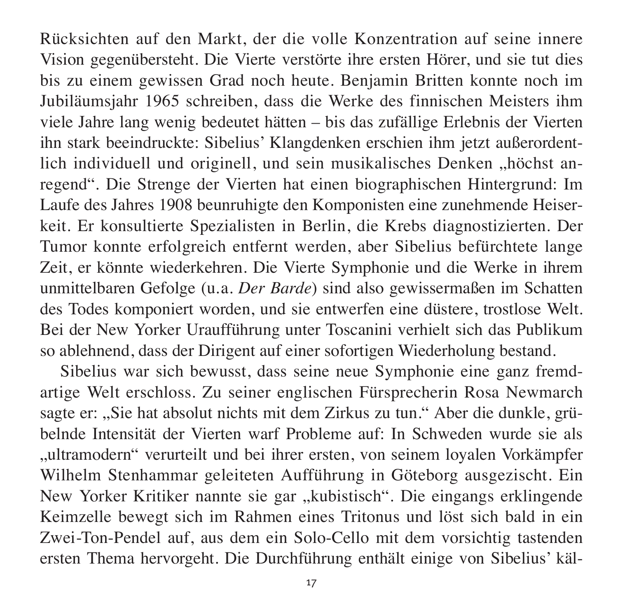Rück sichten auf den Markt, der die volle Konzentration auf seine innere Vision gegen übersteht. Die Vierte verstörte ihre ersten Hörer, und sie tut dies bis zu einem gewissen Grad noch heute. Benjamin Britten konnte noch im Jubiläumsjahr 1965 schreiben, dass die Werke des finnischen Meisters ihm viele Jahre lang wenig bedeutet hätten – bis das zufällige Erlebnis der Vierten ihn stark beeindruckte: Sibelius' Klangdenken erschien ihm jetzt außerordentlich individuell und originell, und sein musikalisches Denken "höchst anregend". Die Strenge der Vierten hat einen biographischen Hintergrund: Im Laufe des Jahres 1908 beunruhigte den Komponisten eine zunehmende Heiser keit. Er konsultierte Spezialisten in Berlin, die Krebs diagnostizierten. Der Tumor konnte erfolgreich entfernt werden, aber Sibelius befürchtete lange Zeit, er könnte wiederkehren. Die Vierte Symphonie und die Werke in ihrem unmittelbaren Gefolge (u.a. *Der Barde*) sind also gewissermaßen im Schatten des Todes komponiert worden, und sie entwerfen eine düstere, trostlose Welt. Bei der New Yorker Uraufführung unter Toscanini verhielt sich das Publikum so ablehnend, dass der Dirigent auf einer sofortigen Wiederholung bestand.

Sibelius war sich bewusst, dass seine neue Symphonie eine ganz fremd artige Welt erschloss. Zu seiner englischen Fürsprecherin Rosa Newmarch sagte er: "Sie hat absolut nichts mit dem Zirkus zu tun." Aber die dunkle, grübelnde Intensität der Vierten warf Probleme auf: In Schweden wurde sie als "ultramodern" verurteilt und bei ihrer ersten, von seinem loyalen Vorkämpfer Wilhelm Stenhammar geleiteten Aufführung in Göteborg ausgezischt. Ein New Yorker Kritiker nannte sie gar "kubistisch". Die eingangs erklingende Keim zelle bewegt sich im Rahmen eines Tritonus und löst sich bald in ein Zwei-Ton-Pendel auf, aus dem ein Solo-Cello mit dem vorsichtig tastenden ersten Thema hervorgeht. Die Durchführung enthält einige von Sibelius' käl -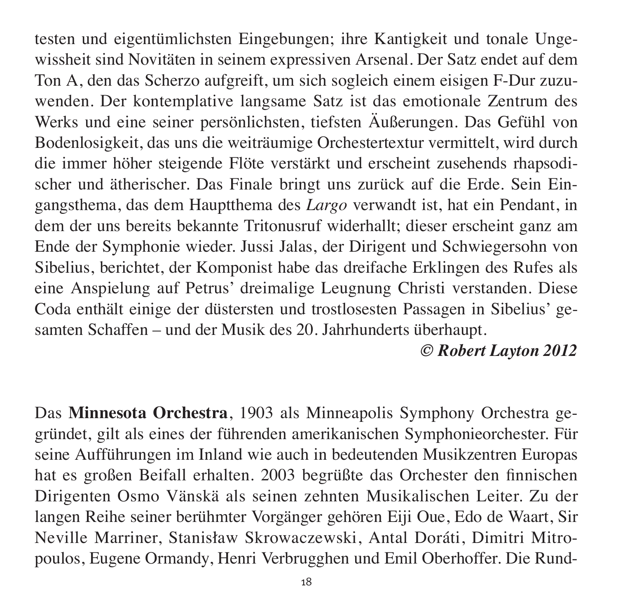testen und eigentümlichsten Eingebungen; ihre Kantigkeit und tonale Ungewissheit sind Novitäten in seinem expressiven Arsenal. Der Satz endet auf dem Ton A, den das Scherzo aufgreift, um sich sogleich einem eisigen F-Dur zuzu wenden. Der kontemplative langsame Satz ist das emotionale Zentrum des Werks und eine seiner persönlichsten, tiefsten Äußerungen. Das Gefühl von Bodenlosigkeit, das uns die weiträumige Orchestertextur vermittelt, wird durch die immer höher steigende Flöte verstärkt und erscheint zusehends rhapsodischer und ätherischer. Das Finale bringt uns zurück auf die Erde. Sein Ein gangs thema, das dem Hauptthema des *Largo* verwandt ist, hat ein Pendant, in dem der uns bereits bekannte Tritonusruf widerhallt; dieser erscheint ganz am Ende der Symphonie wieder. Jussi Jalas, der Dirigent und Schwiegersohn von Sibelius, berichtet, der Komponist habe das dreifache Erklingen des Rufes als eine Anspielung auf Petrus' dreimalige Leugnung Christi verstanden. Diese Coda enthält einige der düstersten und trostlosesten Passagen in Sibelius' gesamten Schaffen – und der Musik des 20. Jahrhunderts überhaupt.

### *© Robert Layton 2012*

Das **Minnesota Orchestra**, 1903 als Minneapolis Symphony Orchestra ge grün det, gilt als eines der führenden amerikanischen Symphonieorchester. Für seine Aufführungen im Inland wie auch in bedeutenden Musikzentren Europas hat es großen Beifall erhalten. 2003 begrüßte das Orchester den finnischen Diri genten Osmo Vänskä als seinen zehnten Musikalischen Leiter. Zu der langen Reihe seiner berühmter Vorgänger gehören Eiji Oue, Edo de Waart, Sir Neville Marriner, Stanisław Skrowaczewski, Antal Doráti, Dimitri Mitropoulos, Eugene Ormandy, Henri Verbrugghen und Emil Oberhoffer. Die Rund-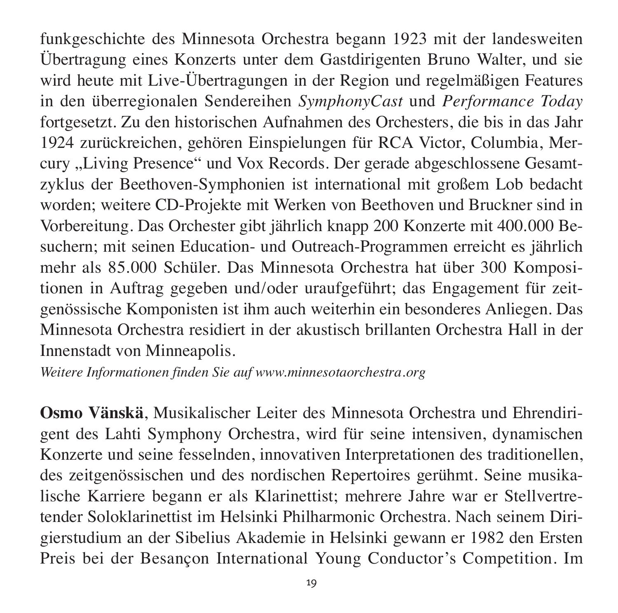funkgeschichte des Minnesota Orchestra begann 1923 mit der landesweiten Übertragung eines Konzerts unter dem Gastdirigenten Bruno Walter, und sie wird heute mit Live-Übertragungen in der Region und regelmäßigen Features in den überregionalen Sendereihen *SymphonyCast* und *Performance Today* fortgesetzt. Zu den historischen Aufnahmen des Orchesters, die bis in das Jahr 1924 zurückreichen, gehören Einspielungen für RCA Victor, Columbia, Mercury "Living Presence" und Vox Records. Der gerade abgeschlossene Gesamtzyklus der Beethoven-Symphonien ist international mit großem Lob bedacht worden; weitere CD-Projekte mit Werken von Beethoven und Bruckner sind in Vorbereitung. Das Orchester gibt jährlich knapp 200 Konzerte mit 400.000 Besuchern; mit seinen Education- und Outreach-Programmen erreicht es jährlich mehr als 85.000 Schüler. Das Minnesota Orchestra hat über 300 Kompositionen in Auftrag gegeben und/oder uraufgeführt; das Engagement für zeitgenössische Komponisten ist ihm auch weiterhin ein besonderes Anliegen. Das Minnesota Orchestra residiert in der akustisch brillanten Orchestra Hall in der Innenstadt von Minneapolis.

*Weitere Informationen finden Sie auf www.minnesotaorchestra.org*

**Osmo Vänskä**, Musikalischer Leiter des Minnesota Orchestra und Ehrendirigent des Lahti Symphony Orchestra, wird für seine intensiven, dynamischen Konzerte und seine fesselnden, innovativen Interpretationen des traditionellen, des zeitgenössischen und des nordischen Repertoires gerühmt. Seine musikalische Karriere begann er als Klarinettist; mehrere Jahre war er Stellvertretender Soloklarinettist im Helsinki Philharmonic Orchestra. Nach seinem Dirigierstudium an der Sibelius Akademie in Helsinki gewann er 1982 den Ersten Preis bei der Besançon International Young Conductor's Competition. Im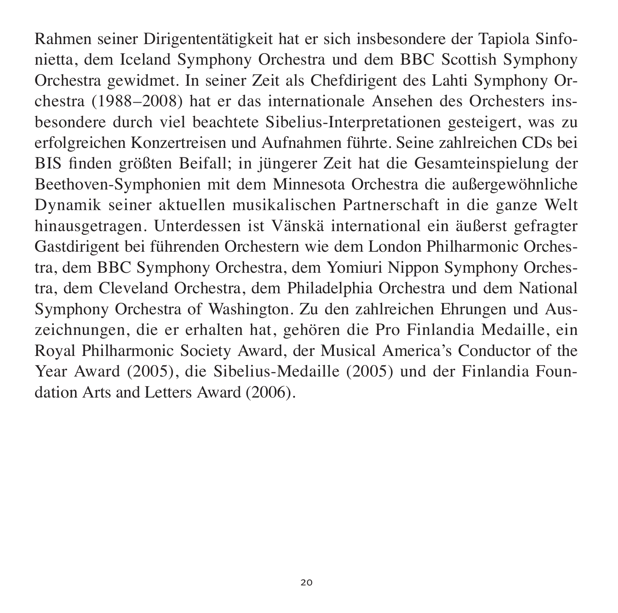Rahmen seiner Dirigententätigkeit hat er sich insbesondere der Tapiola Sinfonietta, dem Iceland Symphony Orchestra und dem BBC Scottish Symphony Orchestra gewidmet. In seiner Zeit als Chefdirigent des Lahti Symphony Orchestra (1988–2008) hat er das internationale Ansehen des Orchesters ins besondere durch viel beach tete Sibelius-Interpretationen gesteigert, was zu erfolg reichen Konzertreisen und Aufnahmen führte. Seine zahlreichen CDs bei BIS finden größten Beifall; in jüngerer Zeit hat die Gesamteinspielung der Beethoven-Symphonien mit dem Minnesota Orchestra die außergewöhnliche Dynamik seiner aktuellen musika lischen Partnerschaft in die ganze Welt hinausgetragen. Unterdessen ist Vänskä international ein äußerst gefragter Gastdirigent bei führenden Orchestern wie dem London Philharmonic Orchestra, dem BBC Symphony Orchestra, dem Yomiuri Nippon Symphony Orchestra, dem Cleveland Orchestra, dem Philadelphia Orchestra und dem National Symphony Orchestra of Washington. Zu den zahlreichen Ehrungen und Auszeichnungen, die er erhalten hat, gehören die Pro Finlandia Medaille, ein Royal Philharmonic Society Award, der Musical America's Conductor of the Year Award (2005), die Sibelius-Medaille (2005) und der Finlandia Foundation Arts and Letters Award (2006).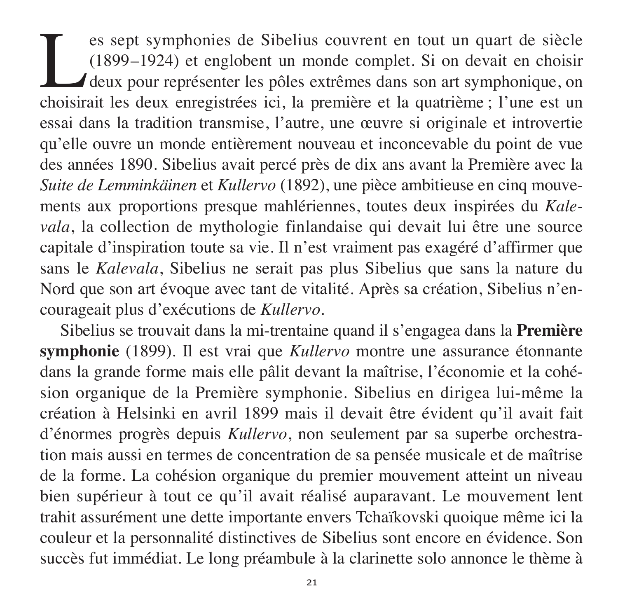es sept symphonies de Sibelius couvrent en tout un quart de siècle (1899–1924) et englobent un monde complet. Si on devait en choisir deux pour représenter les pôles extrêmes dans son art symphonique, on choisir ait les de (1899–1924) et englobent un monde complet. Si on devait en choisir deux pour représenter les pôles extrêmes dans son art symphonique, on choisirait les deux enregistrées ici, la première et la quatrième ; l'une est un essai dans la tradition transmise, l'autre, une œuvre si originale et introvertie qu'elle ouvre un monde entièrement nouveau et inconcevable du point de vue des années 1890. Sibelius avait percé près de dix ans avant la Première avec la Suite de Lemminkäinen et *Kullervo* (1892), une pièce ambitieuse en cinq mouvements aux proportions presque mahlériennes, toutes deux inspirées du *Kalevala*, la collection de mythologie finlandaise qui devait lui être une source capitale d'inspiration toute sa vie. Il n'est vraiment pas exagéré d'affirmer que sans le *Kale vala*, Sibelius ne serait pas plus Sibelius que sans la nature du Nord que son art évoque avec tant de vitalité. Après sa création, Sibelius n'encourageait plus d'exécutions de *Kullervo*.

Sibelius se trouvait dans la mi-trentaine quand il s'engagea dans la **Première symphonie** (1899). Il est vrai que *Kullervo* montre une assurance étonnante dans la grande forme mais elle pâlit devant la maîtrise, l'économie et la cohé sion organique de la Première symphonie. Sibelius en dirigea lui-même la création à Helsinki en avril 1899 mais il devait être évident qu'il avait fait d'énormes progrès depuis *Kullervo*, non seulement par sa superbe orchestration mais aussi en termes de concentration de sa pensée musicale et de maîtrise de la forme. La cohésion organique du premier mouvement atteint un niveau bien supérieur à tout ce qu'il avait réalisé auparavant. Le mouvement lent trahit assurément une dette importante envers Tchaïkovski quoique même ici la couleur et la personnalité distinctives de Sibelius sont encore en évidence. Son succès fut immédiat. Le long préambule à la clarinette solo annonce le thème à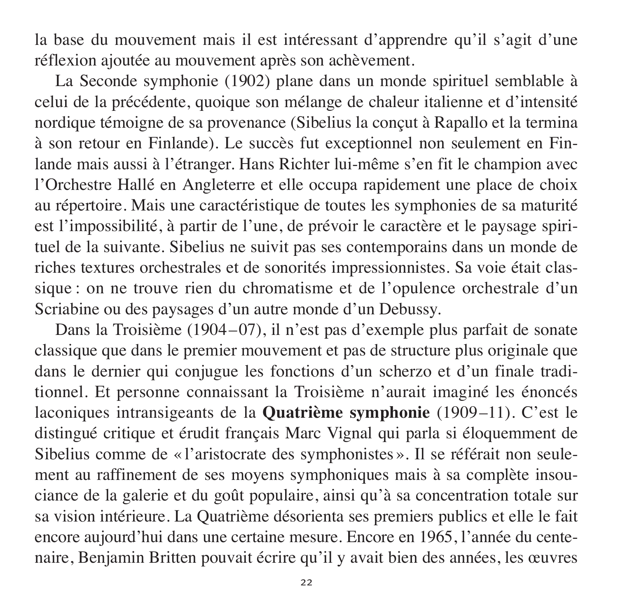la base du mouvement mais il est intéressant d'apprendre qu'il s'agit d'une réflexion ajoutée au mouvement après son achèvement.

La Seconde symphonie (1902) plane dans un monde spirituel semblable à ce lui de la précédente, quoique son mélange de chaleur italienne et d'intensité nordique témoigne de sa provenance (Sibelius la conçut à Rapallo et la termina à son retour en Finlande). Le succès fut exceptionnel non seulement en Fin lande mais aussi à l'étranger. Hans Richter lui-même s'en fit le champion avec l'Orchestre Hallé en Angleterre et elle occupa rapidement une place de choix au répertoire. Mais une caractéristique de toutes les symphonies de sa maturité est l'impossibilité, à partir de l'une, de prévoir le caractère et le paysage spiri tuel de la suivante. Sibelius ne suivit pas ses contemporains dans un monde de riches textures orchestrales et de sonorités impressionnistes. Sa voie était clas sique : on ne trouve rien du chromatisme et de l'opulence orchestrale d'un Scriabine ou des paysages d'un autre monde d'un Debussy.

Dans la Troisième (1904–07), il n'est pas d'exemple plus parfait de sonate classique que dans le premier mouvement et pas de structure plus originale que dans le dernier qui conjugue les fonctions d'un scherzo et d'un finale traditionnel. Et personne connaissant la Troisième n'aurait imaginé les énoncés laconiques intransigeants de la **Quatrième symphonie** (1909–11). C'est le dis tingué critique et érudit français Marc Vignal qui parla si éloquemment de Sibelius comme de « l'aristocrate des symphonistes ». Il se référait non seule ment au raffinement de ses moyens symphoniques mais à sa complète insou ciance de la galerie et du goût populaire, ainsi qu'à sa concentration totale sur sa vision intérieure. La Quatrième désorienta ses premiers publics et elle le fait encore aujourd'hui dans une certaine mesure. Encore en 1965, l'année du centenaire, Benjamin Britten pouvait écrire qu'il y avait bien des années, les œuvres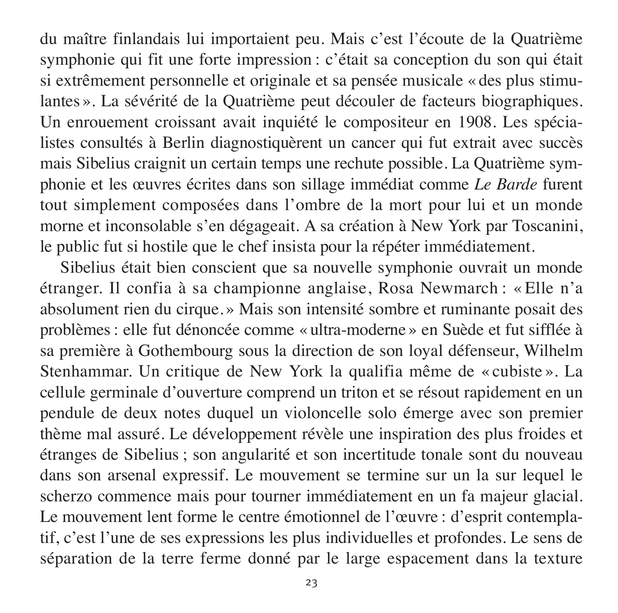du maître finlandais lui importaient peu. Mais c'est l'écoute de la Quatrième symphonie qui fit une forte impression : c'était sa conception du son qui était si extrêmement personnelle et originale et sa pensée musicale « des plus stimu lantes ». La sévérité de la Quatrième peut découler de facteurs biographiques. Un enrouement croissant avait inquiété le compositeur en 1908. Les spécialistes consultés à Berlin diagnostiquèrent un cancer qui fut extrait avec succès mais Sibelius craignit un certain temps une rechute possible. La Quatrième symphonie et les œuvres écrites dans son sillage immédiat comme *Le Barde* furent tout simplement composées dans l'ombre de la mort pour lui et un monde morne et inconsolable s'en dégageait. A sa création à New York par Toscanini, le public fut si hostile que le chef insista pour la répéter immédiatement.

Sibelius était bien conscient que sa nouvelle symphonie ouvrait un monde étranger. Il confia à sa championne anglaise, Rosa Newmarch : « Elle n'a absolu ment rien du cirque. » Mais son intensité sombre et ruminante posait des problèmes : elle fut dénoncée comme « ultra-moderne » en Suède et fut sifflée à sa première à Gothembourg sous la direction de son loyal défenseur, Wilhelm Stenhammar. Un critique de New York la qualifia même de « cubiste ». La cellule germinale d'ouverture comprend un triton et se résout rapidement en un pendule de deux notes duquel un violoncelle solo émerge avec son premier thème mal assuré. Le développement révèle une inspiration des plus froides et étranges de Sibelius ; son angularité et son incertitude tonale sont du nouveau dans son arsenal expressif. Le mouvement se termine sur un la sur lequel le scherzo commence mais pour tourner immédiatement en un fa majeur glacial. Le mouvement lent forme le centre émotionnel de l'œuvre : d'esprit contemplatif, c'est l'une de ses expressions les plus individuelles et profondes. Le sens de séparation de la terre ferme donné par le large espacement dans la texture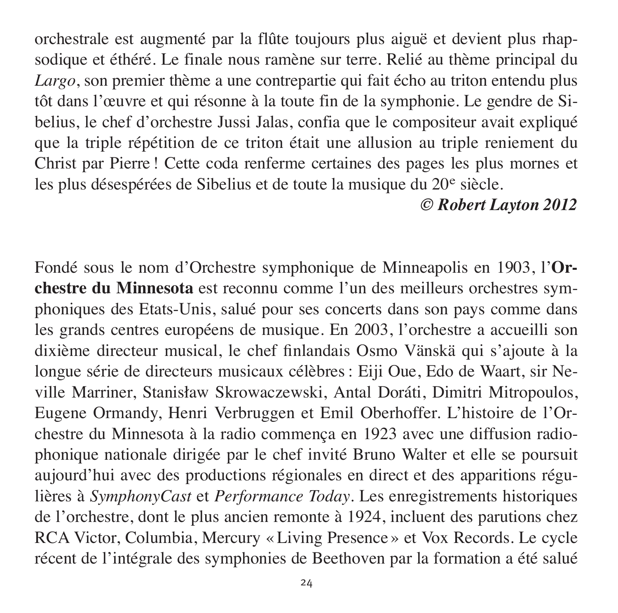orches trale est augmenté par la flûte toujours plus aiguë et devient plus rhap sodique et éthéré. Le finale nous ramène sur terre. Relié au thème principal du *Largo*, son premier thème a une contrepartie qui fait écho au triton entendu plus tôt dans l'œuvre et qui résonne à la toute fin de la symphonie. Le gendre de Sibelius, le chef d'orchestre Jussi Jalas, confia que le compositeur avait expliqué que la triple répétition de ce triton était une allusion au triple reniement du Christ par Pierre ! Cette coda renferme certaines des pages les plus mornes et les plus désespérées de Sibelius et de toute la musique du 20<sup>e</sup> siècle.

## *© Robert Layton 2012*

Fondé sous le nom d'Orchestre symphonique de Minneapolis en 1903, l'**Or chestre du Minnesota** est reconnu comme l'un des meilleurs orchestres sym phoniques des Etats-Unis, salué pour ses concerts dans son pays comme dans les grands centres européens de musique. En 2003, l'orchestre a accueilli son dixième directeur mu sical, le chef finlandais Osmo Vänskä qui s'ajoute à la longue série de directeurs musicaux célèbres : Eiji Oue, Edo de Waart, sir Neville Marriner, Stanisław Skrowaczewski, Antal Doráti, Dimitri Mitropoulos, Eugene Ormandy, Henri Verbruggen et Emil Oberhoffer. L'histoire de l'Or chestre du Minnesota à la radio commença en 1923 avec une diffusion radiophonique nationale dirigée par le chef invité Bruno Walter et elle se poursuit aujourd'hui avec des productions régionales en direct et des apparitions régulières à *SymphonyCast* et *Performance Today*. Les enregistrements historiques de l'orchestre, dont le plus ancien remonte à 1924, incluent des parutions chez RCA Victor, Columbia, Mercury « Living Presence » et Vox Records. Le cycle récent de l'in tégrale des symphonies de Beethoven par la formation a été salué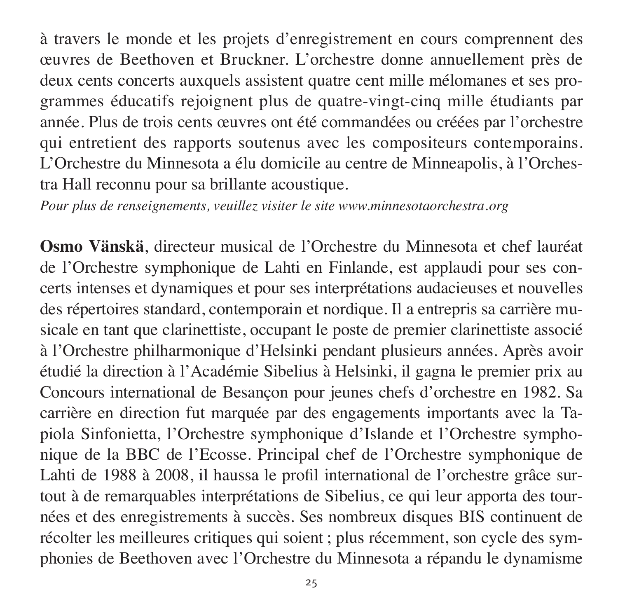à travers le monde et les projets d'enregistrement en cours comprennent des œuvres de Beethoven et Bruckner. L'orchestre donne annuellement près de deux cents concerts auxquels assistent quatre cent mille mélomanes et ses programmes éducatifs rejoignent plus de quatre-vingt-cinq mille étudiants par année. Plus de trois cents œuvres ont été commandées ou créées par l'orchestre qui entretient des rapports soutenus avec les compositeurs contemporains. L'Orchestre du Minnesota a élu domicile au centre de Minneapolis, à l'Orchestra Hall reconnu pour sa brillante acoustique.

*Pour plus de renseignements, veuillez visiter le site www.minnesotaorchestra.org*

**Osmo Vänskä**, directeur musical de l'Orchestre du Minnesota et chef lauréat de l'Orchestre symphonique de Lahti en Finlande, est applaudi pour ses concerts in tenses et dynamiques et pour ses interprétations audacieuses et nou velles des répertoires standard, contemporain et nordique. Il a entrepris sa carrière musicale en tant que clarinettiste, occupant le poste de premier clarinettiste associé à l'Orchestre philharmonique d'Helsinki pendant plusieurs années. Après avoir étudié la direction à l'Aca démie Sibelius à Helsinki, il gagna le premier prix au Concours international de Besançon pour jeunes chefs d'orchestre en 1982. Sa carrière en direction fut marquée par des engagements importants avec la Tapiola Sinfonietta, l'Orchestre symphonique d'Islande et l'Orchestre symphonique de la BBC de l'Ecosse. Principal chef de l'Orchestre symphonique de Lahti de 1988 à 2008, il haussa le profil international de l'orchestre grâce surtout à de remarquables interprétations de Sibelius, ce qui leur apporta des tour nées et des enregistrements à succès. Ses nombreux disques BIS continuent de récolter les meilleures critiques qui soient ; plus récemment, son cycle des sym phonies de Beethoven avec l'Orchestre du Minnesota a répandu le dynamisme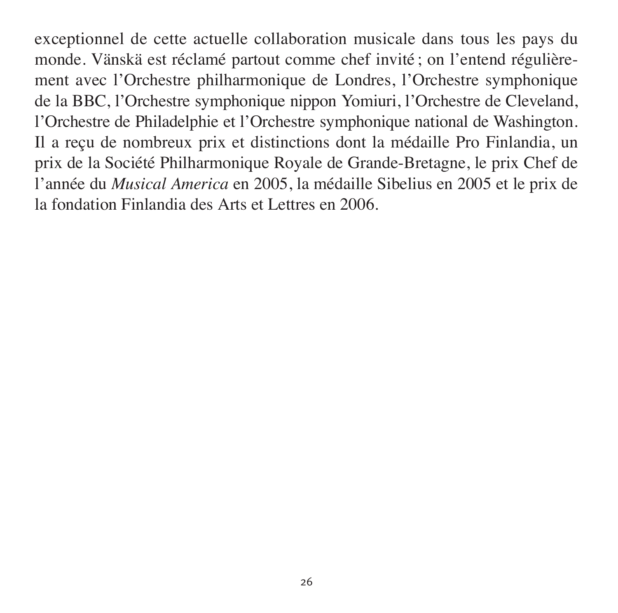exceptionnel de cette actuelle collaboration musicale dans tous les pays du monde. Vänskä est réclamé partout comme chef invité ; on l'entend régulièrement avec l'Orchestre philharmonique de Londres, l'Orchestre symphonique de la BBC, l'Orchestre symphonique nippon Yomiuri, l'Orchestre de Cleveland, l'Orchestre de Phila del phie et l'Orchestre symphonique national de Washington. Il a reçu de nombreux prix et distinctions dont la médaille Pro Finlandia, un prix de la Société Philharmonique Royale de Grande-Bretagne, le prix Chef de l'année du *Musical America* en 2005, la médaille Sibelius en 2005 et le prix de la fondation Finlandia des Arts et Lettres en 2006.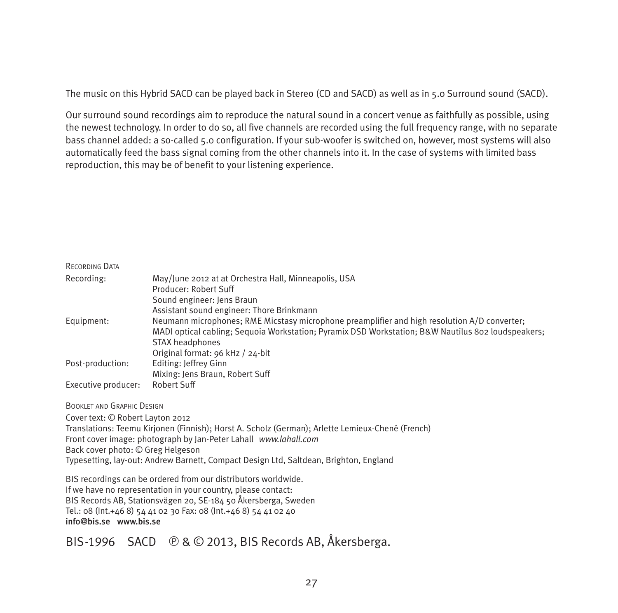The music on this Hybrid SACD can be played back in Stereo (CD and SACD) as well as in 5.0 Surround sound (SACD).

Our surround sound recordings aim to reproduce the natural sound in a concert venue as faith fully as possible, using the newest technology. In order to do so, all five channels are recorded using the full frequency range, with no separate bass channel added: a so-called 5.0 configuration. If your sub-woofer is switched on, however, most systems will also automatically feed the bass signal coming from the other channels into it. In the case of systems with limited bass reproduction, this may be of benefit to your listening experience.

| RECORDING DATA |  |
|----------------|--|
|----------------|--|

| Recording:          | May/June 2012 at at Orchestra Hall, Minneapolis, USA                                               |
|---------------------|----------------------------------------------------------------------------------------------------|
|                     | Producer: Robert Suff                                                                              |
|                     | Sound engineer: Iens Braun                                                                         |
|                     | Assistant sound engineer: Thore Brinkmann                                                          |
| Equipment:          | Neumann microphones; RME Micstasy microphone preamplifier and high resolution A/D converter;       |
|                     | MADI optical cabling; Sequoia Workstation; Pyramix DSD Workstation; B&W Nautilus 802 loudspeakers; |
|                     | STAX headphones                                                                                    |
|                     | Original format: 96 kHz / 24-bit                                                                   |
| Post-production:    | Editing: Jeffrey Ginn                                                                              |
|                     | Mixing: Jens Braun, Robert Suff                                                                    |
| Executive producer: | Robert Suff                                                                                        |

BOOKLET AND GRAPHIC DESIGN

Cover text: © Robert Layton 2012 Translations: Teemu Kirjonen (Finnish); Horst A. Scholz (German); Arlette Lemieux-Chené (French) Front cover image: photograph by Jan-Peter Lahall *www.lahall.com* Back cover photo: © Greg Helgeson Typesetting, lay-out: Andrew Barnett, Compact Design Ltd, Saltdean, Brighton, England

BIS recordings can be ordered from our distributors worldwide. If we have no representation in your country, please contact: BIS Records AB, Stationsvägen 20, SE-184 50 Åkersberga, Sweden Tel.: 08 (Int.+46 8) 54 41 02 30 Fax: 08 (Int.+46 8) 54 41 02 40 info@bis.se www.bis.se

BIS-1996 SACD  $\bigcirc$  &  $\bigcirc$  2013, BIS Records AB, Åkersberga.